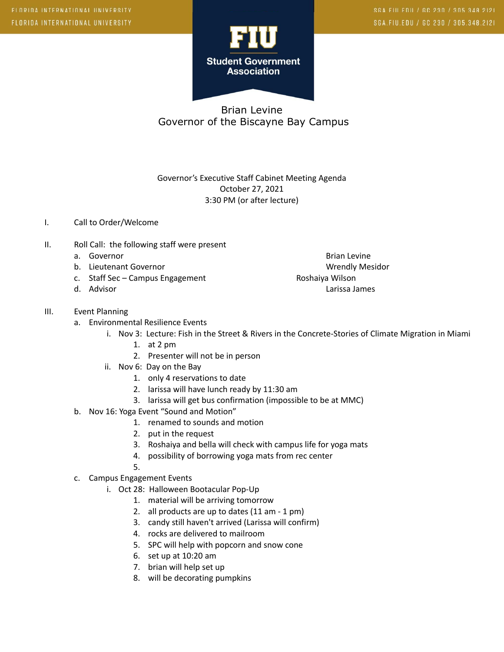

Governor's Executive Staff Cabinet Meeting Agenda October 27, 2021 3:30 PM (or after lecture)

## I. Call to Order/Welcome

- II. Roll Call: the following staff were present
	-
	- b. Lieutenant Governor November 2008 and Wrendly Mesidor
	- c. Staff Sec Campus Engagement **Roshaiya Wilson**
	-
- III. Event Planning
	- a. Environmental Resilience Events
		- i. Nov 3: Lecture: Fish in the Street & Rivers in the Concrete-Stories of Climate Migration in Miami
			- 1. at 2 pm
			- 2. Presenter will not be in person
		- ii. Nov 6: Day on the Bay
			- 1. only 4 reservations to date
			- 2. larissa will have lunch ready by 11:30 am
			- 3. larissa will get bus confirmation (impossible to be at MMC)
	- b. Nov 16: Yoga Event "Sound and Motion"
		- 1. renamed to sounds and motion
		- 2. put in the request
		- 3. Roshaiya and bella will check with campus life for yoga mats
		- 4. possibility of borrowing yoga mats from rec center
		- 5.
	- c. Campus Engagement Events
		- i. Oct 28: Halloween Bootacular Pop-Up
			- 1. material will be arriving tomorrow
			- 2. all products are up to dates (11 am 1 pm)
			- 3. candy still haven't arrived (Larissa will confirm)
			- 4. rocks are delivered to mailroom
			- 5. SPC will help with popcorn and snow cone
			- 6. set up at 10:20 am
			- 7. brian will help set up
			- 8. will be decorating pumpkins

a. Governor and Brian Levine and Brian Levine and Brian Levine and Brian Levine d. Advisor Larissa James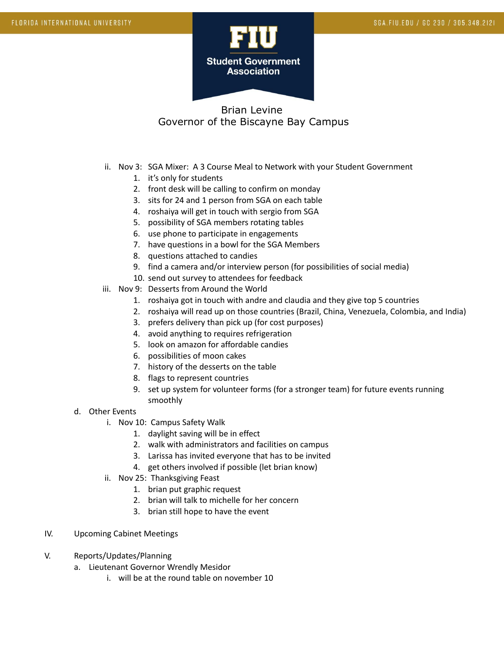

- ii. Nov 3: SGA Mixer: A 3 Course Meal to Network with your Student Government
	- 1. it's only for students
	- 2. front desk will be calling to confirm on monday
	- 3. sits for 24 and 1 person from SGA on each table
	- 4. roshaiya will get in touch with sergio from SGA
	- 5. possibility of SGA members rotating tables
	- 6. use phone to participate in engagements
	- 7. have questions in a bowl for the SGA Members
	- 8. questions attached to candies
	- 9. find a camera and/or interview person (for possibilities of social media)
	- 10. send out survey to attendees for feedback
- iii. Nov 9: Desserts from Around the World
	- 1. roshaiya got in touch with andre and claudia and they give top 5 countries
	- 2. roshaiya will read up on those countries (Brazil, China, Venezuela, Colombia, and India)
	- 3. prefers delivery than pick up (for cost purposes)
	- 4. avoid anything to requires refrigeration
	- 5. look on amazon for affordable candies
	- 6. possibilities of moon cakes
	- 7. history of the desserts on the table
	- 8. flags to represent countries
	- 9. set up system for volunteer forms (for a stronger team) for future events running smoothly
- d. Other Events
	- i. Nov 10: Campus Safety Walk
		- 1. daylight saving will be in effect
		- 2. walk with administrators and facilities on campus
		- 3. Larissa has invited everyone that has to be invited
		- 4. get others involved if possible (let brian know)
	- ii. Nov 25: Thanksgiving Feast
		- 1. brian put graphic request
		- 2. brian will talk to michelle for her concern
		- 3. brian still hope to have the event
- IV. Upcoming Cabinet Meetings
- V. Reports/Updates/Planning
	- a. Lieutenant Governor Wrendly Mesidor
		- i. will be at the round table on november 10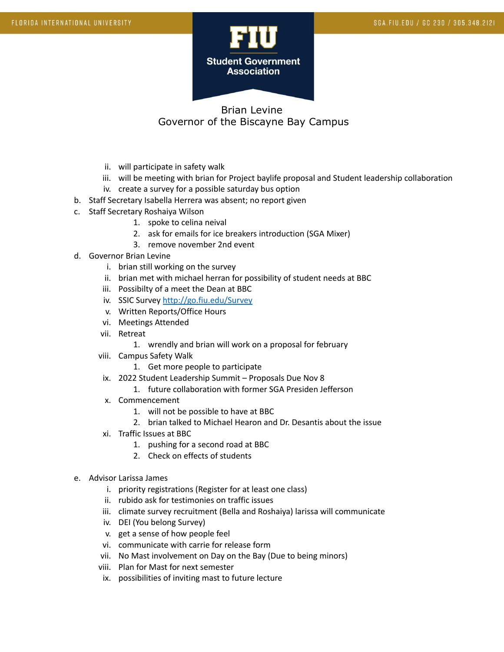

- ii. will participate in safety walk
- iii. will be meeting with brian for Project baylife proposal and Student leadership collaboration
- iv. create a survey for a possible saturday bus option
- b. Staff Secretary Isabella Herrera was absent; no report given
- c. Staff Secretary Roshaiya Wilson
	- 1. spoke to celina neival
	- 2. ask for emails for ice breakers introduction (SGA Mixer)
	- 3. remove november 2nd event
- d. Governor Brian Levine
	- i. brian still working on the survey
	- ii. brian met with michael herran for possibility of student needs at BBC
	- iii. Possibilty of a meet the Dean at BBC
	- iv. SSIC Survey <http://go.fiu.edu/Survey>
	- v. Written Reports/Office Hours
	- vi. Meetings Attended
	- vii. Retreat
		- 1. wrendly and brian will work on a proposal for february
	- viii. Campus Safety Walk
		- 1. Get more people to participate
	- ix. 2022 Student Leadership Summit Proposals Due Nov 8
		- 1. future collaboration with former SGA Presiden Jefferson
	- x. Commencement
		- 1. will not be possible to have at BBC
		- 2. brian talked to Michael Hearon and Dr. Desantis about the issue
	- xi. Traffic Issues at BBC
		- 1. pushing for a second road at BBC
		- 2. Check on effects of students
- e. Advisor Larissa James
	- i. priority registrations (Register for at least one class)
	- ii. rubido ask for testimonies on traffic issues
	- iii. climate survey recruitment (Bella and Roshaiya) larissa will communicate
	- iv. DEI (You belong Survey)
	- v. get a sense of how people feel
	- vi. communicate with carrie for release form
	- vii. No Mast involvement on Day on the Bay (Due to being minors)
	- viii. Plan for Mast for next semester
	- ix. possibilities of inviting mast to future lecture